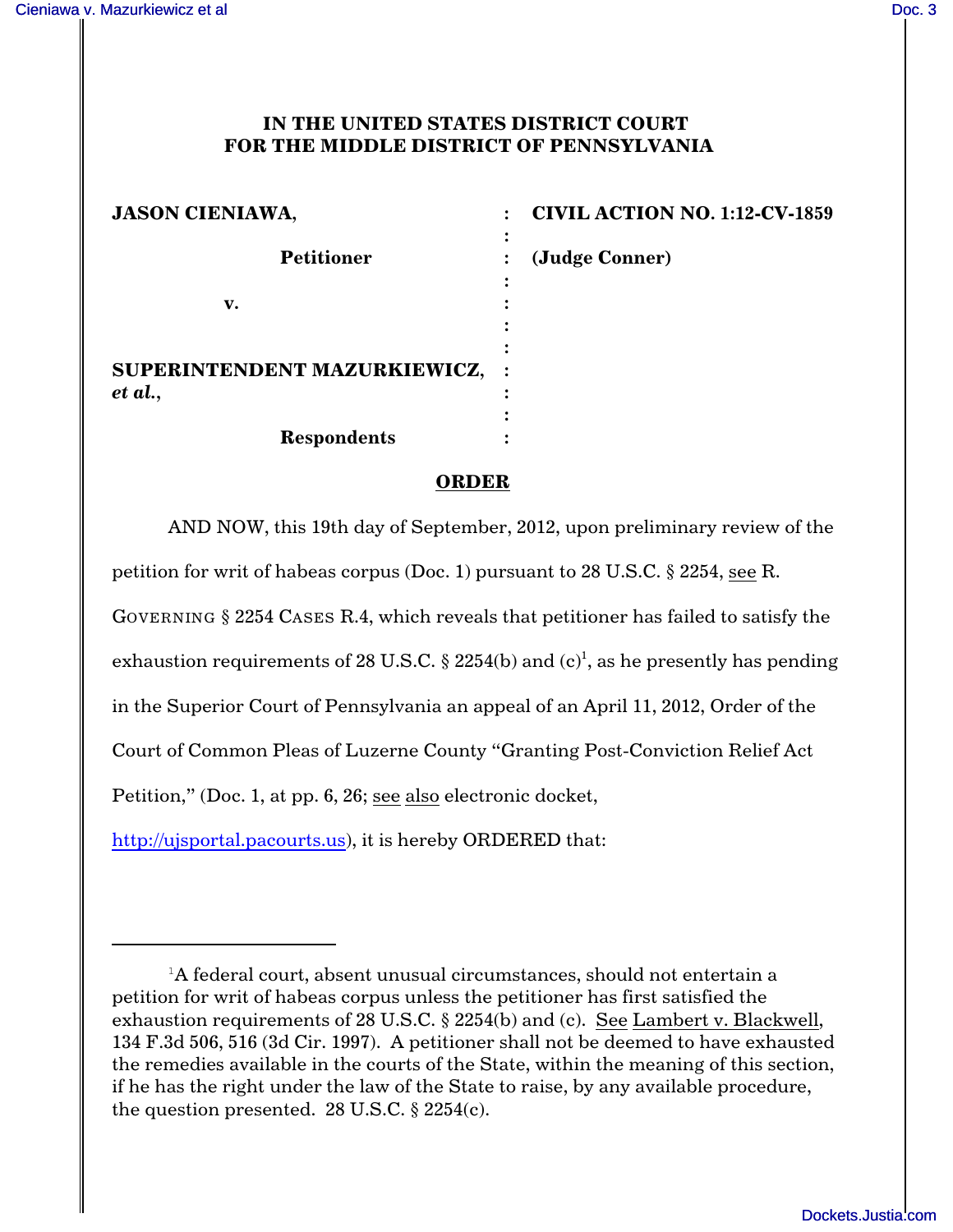## **IN THE UNITED STATES DISTRICT COURT FOR THE MIDDLE DISTRICT OF PENNSYLVANIA**

| <b>JASON CIENIAWA,</b>        | <b>CIVIL ACTION NO. 1:12-CV-1859</b> |
|-------------------------------|--------------------------------------|
| <b>Petitioner</b>             | ٠<br>(Judge Conner)                  |
| v.                            |                                      |
| SUPERINTENDENT MAZURKIEWICZ,  |                                      |
| et al.,<br><b>Respondents</b> |                                      |

## **ORDER**

AND NOW, this 19th day of September, 2012, upon preliminary review of the petition for writ of habeas corpus (Doc. 1) pursuant to 28 U.S.C. § 2254, see R. GOVERNING § 2254 CASES R.4, which reveals that petitioner has failed to satisfy the exhaustion requirements of 28 U.S.C. § 2254(b) and  $(c)^1$ , as he presently has pending in the Superior Court of Pennsylvania an appeal of an April 11, 2012, Order of the Court of Common Pleas of Luzerne County "Granting Post-Conviction Relief Act Petition," (Doc. 1, at pp. 6, 26; see also electronic docket, <http://ujsportal.pacourts.us>), it is hereby ORDERED that:

 ${}^{1}$ A federal court, absent unusual circumstances, should not entertain a petition for writ of habeas corpus unless the petitioner has first satisfied the exhaustion requirements of 28 U.S.C. § 2254(b) and (c). See Lambert v. Blackwell, 134 F.3d 506, 516 (3d Cir. 1997). A petitioner shall not be deemed to have exhausted the remedies available in the courts of the State, within the meaning of this section, if he has the right under the law of the State to raise, by any available procedure, the question presented. 28 U.S.C.  $\S$  2254(c).